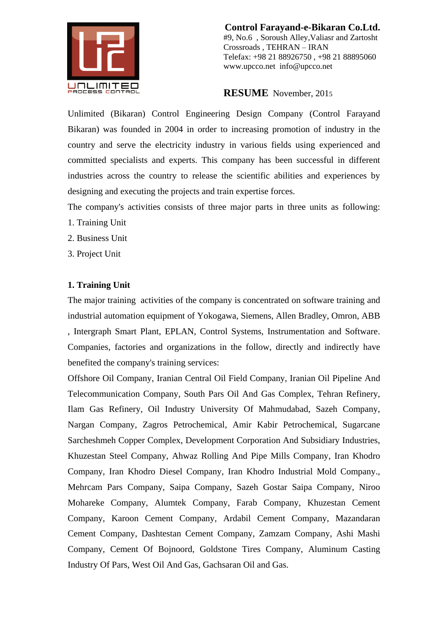

**RESUME** November, 201<sup>5</sup>

Unlimited (Bikaran) Control Engineering Design Company (Control Farayand Bikaran) was founded in 2004 in order to increasing promotion of industry in the country and serve the electricity industry in various fields using experienced and committed specialists and experts. This company has been successful in different industries across the country to release the scientific abilities and experiences by designing and executing the projects and train expertise forces.

The company's activities consists of three major parts in three units as following:

- 1. Training Unit
- 2. Business Unit
- 3. Project Unit

## **1. Training Unit**

The major training activities of the company is concentrated on software training and industrial automation equipment of Yokogawa, Siemens, Allen Bradley, Omron, ABB , Intergraph Smart Plant, EPLAN, Control Systems, Instrumentation and Software. Companies, factories and organizations in the follow, directly and indirectly have benefited the company's training services:

Offshore Oil Company, Iranian Central Oil Field Company, Iranian Oil Pipeline And Telecommunication Company, South Pars Oil And Gas Complex, Tehran Refinery, Ilam Gas Refinery, Oil Industry University Of Mahmudabad, Sazeh Company, Nargan Company, Zagros Petrochemical, Amir Kabir Petrochemical, Sugarcane Sarcheshmeh Copper Complex, Development Corporation And Subsidiary Industries, Khuzestan Steel Company, Ahwaz Rolling And Pipe Mills Company, Iran Khodro Company, Iran Khodro Diesel Company, Iran Khodro Industrial Mold Company., Mehrcam Pars Company, Saipa Company, Sazeh Gostar Saipa Company, Niroo Mohareke Company, Alumtek Company, Farab Company, Khuzestan Cement Company, Karoon Cement Company, Ardabil Cement Company, Mazandaran Cement Company, Dashtestan Cement Company, Zamzam Company, Ashi Mashi Company, Cement Of Bojnoord, Goldstone Tires Company, Aluminum Casting Industry Of Pars, West Oil And Gas, Gachsaran Oil and Gas.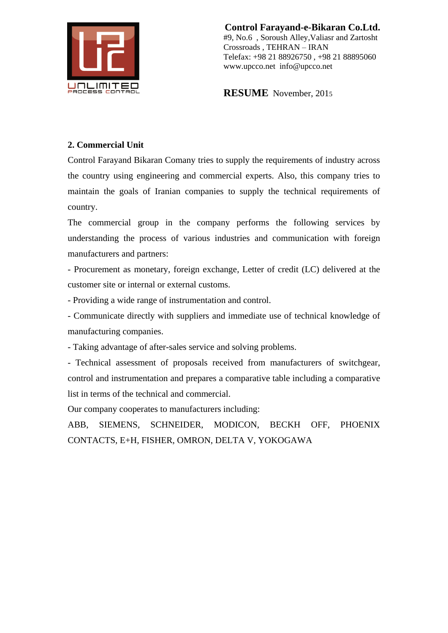

**RESUME** November, 201<sup>5</sup>

## **2. Commercial Unit**

Control Farayand Bikaran Comany tries to supply the requirements of industry across the country using engineering and commercial experts. Also, this company tries to maintain the goals of Iranian companies to supply the technical requirements of country.

The commercial group in the company performs the following services by understanding the process of various industries and communication with foreign manufacturers and partners:

- Procurement as monetary, foreign exchange, Letter of credit (LC) delivered at the customer site or internal or external customs.

- Providing a wide range of instrumentation and control.

- Communicate directly with suppliers and immediate use of technical knowledge of manufacturing companies.

- Taking advantage of after-sales service and solving problems.

- Technical assessment of proposals received from manufacturers of switchgear, control and instrumentation and prepares a comparative table including a comparative list in terms of the technical and commercial.

Our company cooperates to manufacturers including:

ABB, SIEMENS, SCHNEIDER, MODICON, BECKH OFF, PHOENIX CONTACTS, E+H, FISHER, OMRON, DELTA V, YOKOGAWA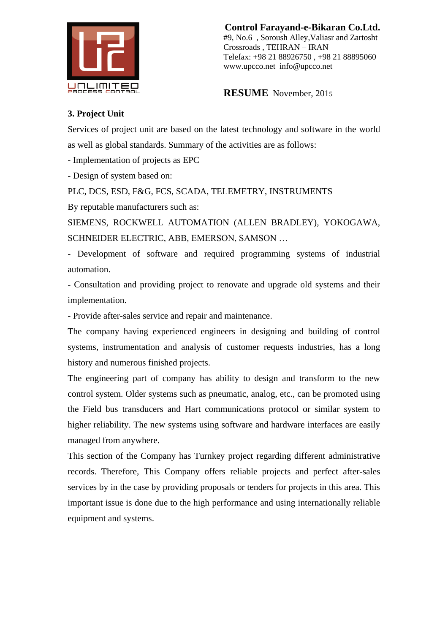

**RESUME** November, 201<sup>5</sup>

## **3. Project Unit**

Services of project unit are based on the latest technology and software in the world as well as global standards. Summary of the activities are as follows:

- Implementation of projects as EPC

- Design of system based on:

PLC, DCS, ESD, F&G, FCS, SCADA, TELEMETRY, INSTRUMENTS

By reputable manufacturers such as:

SIEMENS, ROCKWELL AUTOMATION (ALLEN BRADLEY), YOKOGAWA, SCHNEIDER ELECTRIC, ABB, EMERSON, SAMSON …

- Development of software and required programming systems of industrial automation.

- Consultation and providing project to renovate and upgrade old systems and their implementation.

- Provide after-sales service and repair and maintenance.

The company having experienced engineers in designing and building of control systems, instrumentation and analysis of customer requests industries, has a long history and numerous finished projects.

The engineering part of company has ability to design and transform to the new control system. Older systems such as pneumatic, analog, etc., can be promoted using the Field bus transducers and Hart communications protocol or similar system to higher reliability. The new systems using software and hardware interfaces are easily managed from anywhere.

This section of the Company has Turnkey project regarding different administrative records. Therefore, This Company offers reliable projects and perfect after-sales services by in the case by providing proposals or tenders for projects in this area. This important issue is done due to the high performance and using internationally reliable equipment and systems.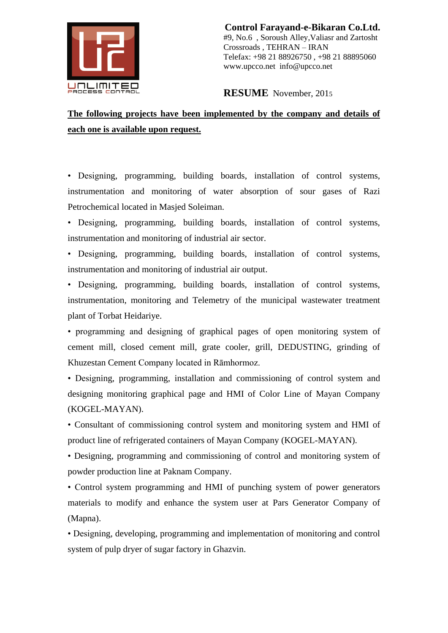

**RESUME** November, 201<sup>5</sup>

## **The following projects have been implemented by the company and details of each one is available upon request.**

• Designing, programming, building boards, installation of control systems, instrumentation and monitoring of water absorption of sour gases of Razi Petrochemical located in Masjed Soleiman.

• Designing, programming, building boards, installation of control systems, instrumentation and monitoring of industrial air sector.

• Designing, programming, building boards, installation of control systems, instrumentation and monitoring of industrial air output.

• Designing, programming, building boards, installation of control systems, instrumentation, monitoring and Telemetry of the municipal wastewater treatment plant of Torbat Heidariye.

• programming and designing of graphical pages of open monitoring system of cement mill, closed cement mill, grate cooler, grill, DEDUSTING, grinding of Khuzestan Cement Company located in Rāmhormoz.

• Designing, programming, installation and commissioning of control system and designing monitoring graphical page and HMI of Color Line of Mayan Company (KOGEL-MAYAN).

• Consultant of commissioning control system and monitoring system and HMI of product line of refrigerated containers of Mayan Company (KOGEL-MAYAN).

• Designing, programming and commissioning of control and monitoring system of powder production line at Paknam Company.

• Control system programming and HMI of punching system of power generators materials to modify and enhance the system user at Pars Generator Company of (Mapna).

• Designing, developing, programming and implementation of monitoring and control system of pulp dryer of sugar factory in Ghazvin.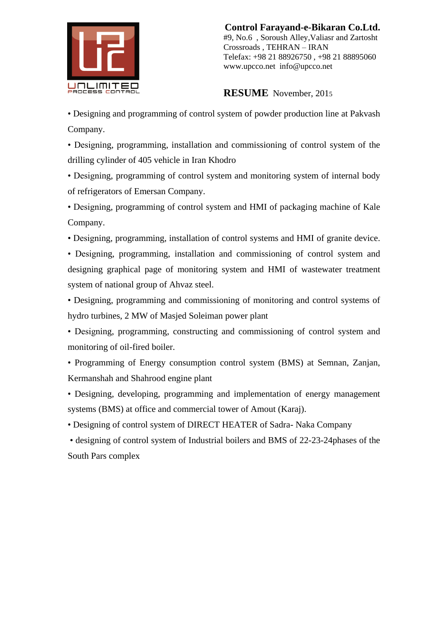

**RESUME** November, 201<sup>5</sup>

• Designing and programming of control system of powder production line at Pakvash Company.

• Designing, programming, installation and commissioning of control system of the drilling cylinder of 405 vehicle in Iran Khodro

• Designing, programming of control system and monitoring system of internal body of refrigerators of Emersan Company.

• Designing, programming of control system and HMI of packaging machine of Kale Company.

• Designing, programming, installation of control systems and HMI of granite device.

• Designing, programming, installation and commissioning of control system and designing graphical page of monitoring system and HMI of wastewater treatment system of national group of Ahvaz steel.

• Designing, programming and commissioning of monitoring and control systems of hydro turbines, 2 MW of Masjed Soleiman power plant

• Designing, programming, constructing and commissioning of control system and monitoring of oil-fired boiler.

• Programming of Energy consumption control system (BMS) at Semnan, Zanjan, Kermanshah and Shahrood engine plant

• Designing, developing, programming and implementation of energy management systems (BMS) at office and commercial tower of Amout (Karaj).

• Designing of control system of DIRECT HEATER of Sadra- Naka Company

• designing of control system of Industrial boilers and BMS of 22-23-24phases of the South Pars complex